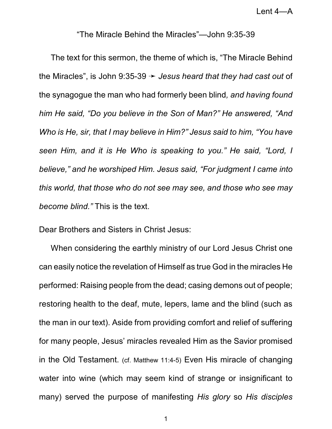## "The Miracle Behind the Miracles"—John 9:35-39

The text for this sermon, the theme of which is, "The Miracle Behind the Miracles", is John 9:35-39  $\rightarrow$  *Jesus heard that they had cast out* of the synagogue the man who had formerly been blind*, and having found him He said, "Do you believe in the Son of Man?" He answered, "And Who is He, sir, that I may believe in Him?" Jesus said to him, "You have seen Him, and it is He Who is speaking to you." He said, "Lord, I believe," and he worshiped Him. Jesus said, "For judgment I came into this world, that those who do not see may see, and those who see may become blind."* This is the text.

Dear Brothers and Sisters in Christ Jesus:

When considering the earthly ministry of our Lord Jesus Christ one can easily notice the revelation of Himself as true God in the miracles He performed: Raising people from the dead; casing demons out of people; restoring health to the deaf, mute, lepers, lame and the blind (such as the man in our text). Aside from providing comfort and relief of suffering for many people, Jesus' miracles revealed Him as the Savior promised in the Old Testament. (cf. Matthew 11:4-5) Even His miracle of changing water into wine (which may seem kind of strange or insignificant to many) served the purpose of manifesting *His glory* so *His disciples*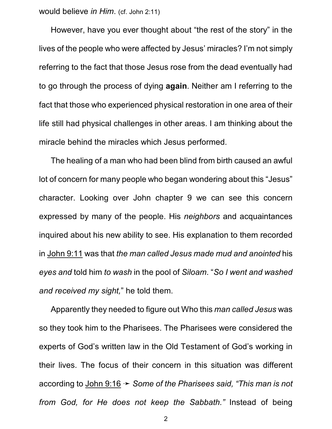would believe *in Him*. (cf. John 2:11)

However, have you ever thought about "the rest of the story" in the lives of the people who were affected by Jesus' miracles? I'm not simply referring to the fact that those Jesus rose from the dead eventually had to go through the process of dying **again**. Neither am I referring to the fact that those who experienced physical restoration in one area of their life still had physical challenges in other areas. I am thinking about the miracle behind the miracles which Jesus performed.

The healing of a man who had been blind from birth caused an awful lot of concern for many people who began wondering about this "Jesus" character. Looking over John chapter 9 we can see this concern expressed by many of the people. His *neighbors* and acquaintances inquired about his new ability to see. His explanation to them recorded in John 9:11 was that *the man called Jesus made mud and anointed* his *eyes and* told him *to wash* in the pool of *Siloam*. "*So I went and washed and received my sight,*" he told them.

Apparently they needed to figure out Who this *man called Jesus* was so they took him to the Pharisees. The Pharisees were considered the experts of God's written law in the Old Testament of God's working in their lives. The focus of their concern in this situation was different according to John 9:16 ý *Some of the Pharisees said, "This man is not from God, for He does not keep the Sabbath."* Instead of being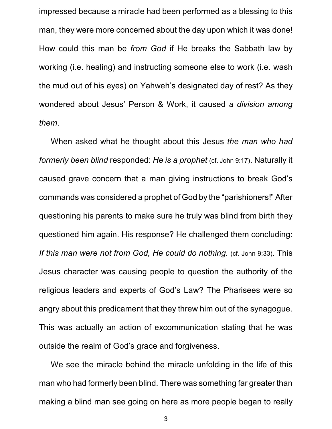impressed because a miracle had been performed as a blessing to this man, they were more concerned about the day upon which it was done! How could this man be *from God* if He breaks the Sabbath law by working (i.e. healing) and instructing someone else to work (i.e. wash the mud out of his eyes) on Yahweh's designated day of rest? As they wondered about Jesus' Person & Work, it caused *a division among them*.

When asked what he thought about this Jesus *the man who had formerly been blind* responded: *He is a prophet* (cf. John 9:17). Naturally it caused grave concern that a man giving instructions to break God's commands was considered a prophet of God by the "parishioners!" After questioning his parents to make sure he truly was blind from birth they questioned him again. His response? He challenged them concluding: *If this man were not from God, He could do nothing.* (cf. John 9:33). This Jesus character was causing people to question the authority of the religious leaders and experts of God's Law? The Pharisees were so angry about this predicament that they threw him out of the synagogue. This was actually an action of excommunication stating that he was outside the realm of God's grace and forgiveness.

We see the miracle behind the miracle unfolding in the life of this man who had formerly been blind. There was something far greater than making a blind man see going on here as more people began to really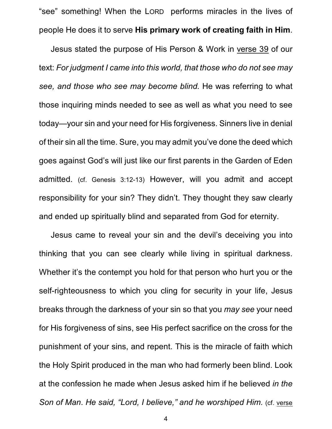"see" something! When the LORD performs miracles in the lives of people He does it to serve **His primary work of creating faith in Him**.

Jesus stated the purpose of His Person & Work in verse 39 of our text: *For judgment I came into this world, that those who do not see may see, and those who see may become blind.* He was referring to what those inquiring minds needed to see as well as what you need to see today—your sin and your need for His forgiveness. Sinners live in denial of their sin all the time. Sure, you may admit you've done the deed which goes against God's will just like our first parents in the Garden of Eden admitted. (cf. Genesis 3:12-13) However, will you admit and accept responsibility for your sin? They didn't. They thought they saw clearly and ended up spiritually blind and separated from God for eternity.

Jesus came to reveal your sin and the devil's deceiving you into thinking that you can see clearly while living in spiritual darkness. Whether it's the contempt you hold for that person who hurt you or the self-righteousness to which you cling for security in your life, Jesus breaks through the darkness of your sin so that you *may see* your need for His forgiveness of sins, see His perfect sacrifice on the cross for the punishment of your sins, and repent. This is the miracle of faith which the Holy Spirit produced in the man who had formerly been blind. Look at the confession he made when Jesus asked him if he believed *in the Son of Man*. *He said, "Lord, I believe," and he worshiped Him.* (cf. verse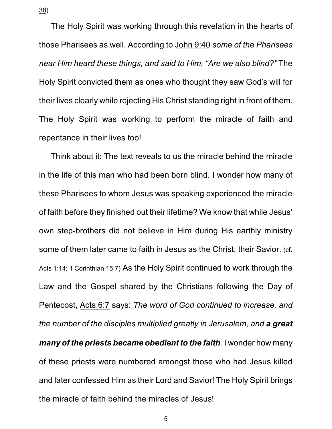38)

The Holy Spirit was working through this revelation in the hearts of those Pharisees as well. According to John 9:40 *some of the Pharisees near Him heard these things, and said to Him, "Are we also blind?"* The Holy Spirit convicted them as ones who thought they saw God's will for their lives clearly while rejecting His Christ standing right in front of them. The Holy Spirit was working to perform the miracle of faith and repentance in their lives too!

Think about it: The text reveals to us the miracle behind the miracle in the life of this man who had been born blind. I wonder how many of these Pharisees to whom Jesus was speaking experienced the miracle of faith before they finished out their lifetime? We know that while Jesus' own step-brothers did not believe in Him during His earthly ministry some of them later came to faith in Jesus as the Christ, their Savior. (cf. Acts 1:14; 1 Corinthian 15:7) As the Holy Spirit continued to work through the Law and the Gospel shared by the Christians following the Day of Pentecost, Acts 6:7 says: *The word of God continued to increase, and the number of the disciples multiplied greatly in Jerusalem, and a great many of the priests became obedient to the faith.* I wonder how many of these priests were numbered amongst those who had Jesus killed and later confessed Him as their Lord and Savior! The Holy Spirit brings the miracle of faith behind the miracles of Jesus!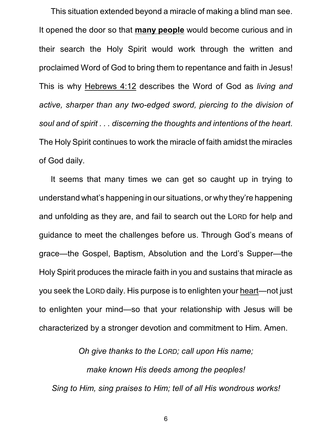This situation extended beyond a miracle of making a blind man see. It opened the door so that **many people** would become curious and in their search the Holy Spirit would work through the written and proclaimed Word of God to bring them to repentance and faith in Jesus! This is why Hebrews 4:12 describes the Word of God as *living and active, sharper than any two-edged sword, piercing to the division of soul and of spirit . . . discerning the thoughts and intentions of the heart*. The Holy Spirit continues to work the miracle of faith amidst the miracles of God daily.

It seems that many times we can get so caught up in trying to understand what's happening in our situations, or why they're happening and unfolding as they are, and fail to search out the LORD for help and guidance to meet the challenges before us. Through God's means of grace—the Gospel, Baptism, Absolution and the Lord's Supper—the Holy Spirit produces the miracle faith in you and sustains that miracle as you seek the LORD daily. His purpose is to enlighten your heart—not just to enlighten your mind—so that your relationship with Jesus will be characterized by a stronger devotion and commitment to Him. Amen.

*Oh give thanks to the LORD; call upon His name;*

*make known His deeds among the peoples! Sing to Him, sing praises to Him; tell of all His wondrous works!*